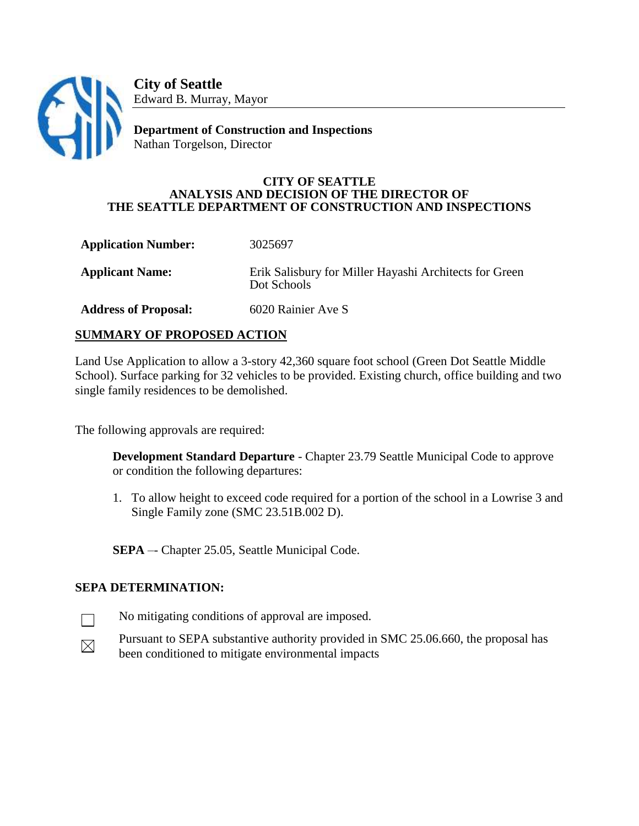

**City of Seattle** Edward B. Murray, Mayor

**Department of Construction and Inspections** Nathan Torgelson, Director

#### **CITY OF SEATTLE ANALYSIS AND DECISION OF THE DIRECTOR OF THE SEATTLE DEPARTMENT OF CONSTRUCTION AND INSPECTIONS**

**Application Number:** 3025697 **Applicant Name:** Erik Salisbury for Miller Hayashi Architects for Green Dot Schools **Address of Proposal:** 6020 Rainier Ave S

# **SUMMARY OF PROPOSED ACTION**

Land Use Application to allow a 3-story 42,360 square foot school (Green Dot Seattle Middle School). Surface parking for 32 vehicles to be provided. Existing church, office building and two single family residences to be demolished.

The following approvals are required:

**Development Standard Departure** - Chapter 23.79 Seattle Municipal Code to approve or condition the following departures:

1. To allow height to exceed code required for a portion of the school in a Lowrise 3 and Single Family zone (SMC 23.51B.002 D).

**SEPA** – Chapter 25.05, Seattle Municipal Code.

### **SEPA DETERMINATION:**

 $\mathbf{L}$ 

 $\boxtimes$ 

- No mitigating conditions of approval are imposed.
- Pursuant to SEPA substantive authority provided in SMC 25.06.660, the proposal has been conditioned to mitigate environmental impacts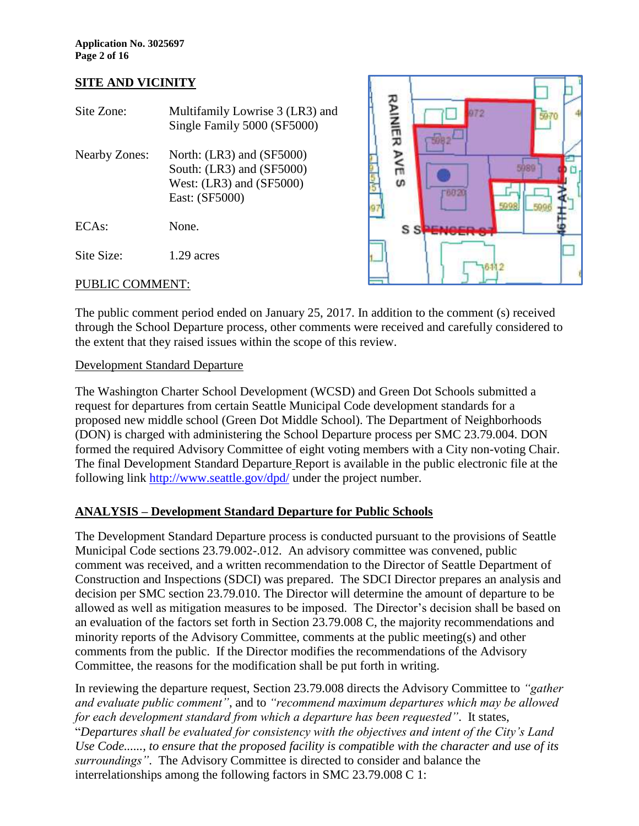#### **SITE AND VICINITY**

| Site Zone:           | Multifamily Lowrise 3 (LR3) and<br>Single Family 5000 (SF5000)                                               |
|----------------------|--------------------------------------------------------------------------------------------------------------|
| <b>Nearby Zones:</b> | North: $(LR3)$ and $(SF5000)$<br>South: (LR3) and (SF5000)<br>West: $(LR3)$ and $(SF5000)$<br>East: (SF5000) |
| ECAs:                | None.                                                                                                        |
| Site Size:           | 1.29 acres                                                                                                   |
|                      |                                                                                                              |



#### PUBLIC COMMENT:

The public comment period ended on January 25, 2017. In addition to the comment (s) received through the School Departure process, other comments were received and carefully considered to the extent that they raised issues within the scope of this review.

#### Development Standard Departure

The Washington Charter School Development (WCSD) and Green Dot Schools submitted a request for departures from certain Seattle Municipal Code development standards for a proposed new middle school (Green Dot Middle School). The Department of Neighborhoods (DON) is charged with administering the School Departure process per SMC 23.79.004. DON formed the required Advisory Committee of eight voting members with a City non-voting Chair. The final Development Standard Departure Report is available in the public electronic file at the following link<http://www.seattle.gov/dpd/> under the project number.

# **ANALYSIS – Development Standard Departure for Public Schools**

The Development Standard Departure process is conducted pursuant to the provisions of Seattle Municipal Code sections 23.79.002-.012. An advisory committee was convened, public comment was received, and a written recommendation to the Director of Seattle Department of Construction and Inspections (SDCI) was prepared. The SDCI Director prepares an analysis and decision per SMC section 23.79.010. The Director will determine the amount of departure to be allowed as well as mitigation measures to be imposed. The Director's decision shall be based on an evaluation of the factors set forth in Section 23.79.008 C, the majority recommendations and minority reports of the Advisory Committee, comments at the public meeting(s) and other comments from the public. If the Director modifies the recommendations of the Advisory Committee, the reasons for the modification shall be put forth in writing.

In reviewing the departure request, Section 23.79.008 directs the Advisory Committee to *"gather and evaluate public comment"*, and to *"recommend maximum departures which may be allowed for each development standard from which a departure has been requested"*. It states, "*Departures shall be evaluated for consistency with the objectives and intent of the City's Land Use Code......, to ensure that the proposed facility is compatible with the character and use of its surroundings"*. The Advisory Committee is directed to consider and balance the interrelationships among the following factors in SMC 23.79.008 C 1: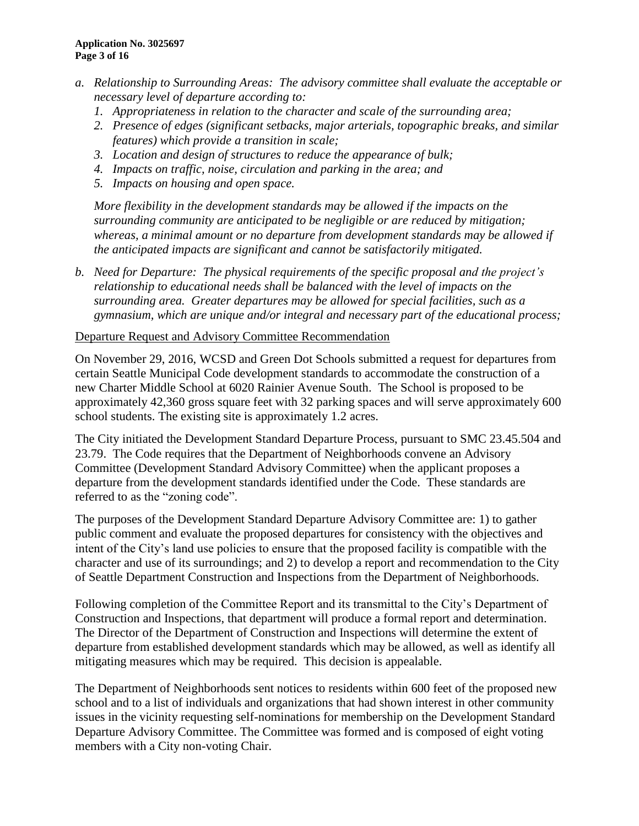- *a. Relationship to Surrounding Areas: The advisory committee shall evaluate the acceptable or necessary level of departure according to:*
	- *1. Appropriateness in relation to the character and scale of the surrounding area;*
	- *2. Presence of edges (significant setbacks, major arterials, topographic breaks, and similar features) which provide a transition in scale;*
	- *3. Location and design of structures to reduce the appearance of bulk;*
	- *4. Impacts on traffic, noise, circulation and parking in the area; and*
	- *5. Impacts on housing and open space.*

*More flexibility in the development standards may be allowed if the impacts on the surrounding community are anticipated to be negligible or are reduced by mitigation; whereas, a minimal amount or no departure from development standards may be allowed if the anticipated impacts are significant and cannot be satisfactorily mitigated.*

*b. Need for Departure: The physical requirements of the specific proposal and the project's relationship to educational needs shall be balanced with the level of impacts on the surrounding area. Greater departures may be allowed for special facilities, such as a gymnasium, which are unique and/or integral and necessary part of the educational process;* 

#### Departure Request and Advisory Committee Recommendation

On November 29, 2016, WCSD and Green Dot Schools submitted a request for departures from certain Seattle Municipal Code development standards to accommodate the construction of a new Charter Middle School at 6020 Rainier Avenue South. The School is proposed to be approximately 42,360 gross square feet with 32 parking spaces and will serve approximately 600 school students. The existing site is approximately 1.2 acres.

The City initiated the Development Standard Departure Process, pursuant to SMC 23.45.504 and 23.79. The Code requires that the Department of Neighborhoods convene an Advisory Committee (Development Standard Advisory Committee) when the applicant proposes a departure from the development standards identified under the Code. These standards are referred to as the "zoning code".

The purposes of the Development Standard Departure Advisory Committee are: 1) to gather public comment and evaluate the proposed departures for consistency with the objectives and intent of the City's land use policies to ensure that the proposed facility is compatible with the character and use of its surroundings; and 2) to develop a report and recommendation to the City of Seattle Department Construction and Inspections from the Department of Neighborhoods.

Following completion of the Committee Report and its transmittal to the City's Department of Construction and Inspections, that department will produce a formal report and determination. The Director of the Department of Construction and Inspections will determine the extent of departure from established development standards which may be allowed, as well as identify all mitigating measures which may be required. This decision is appealable.

The Department of Neighborhoods sent notices to residents within 600 feet of the proposed new school and to a list of individuals and organizations that had shown interest in other community issues in the vicinity requesting self-nominations for membership on the Development Standard Departure Advisory Committee. The Committee was formed and is composed of eight voting members with a City non-voting Chair.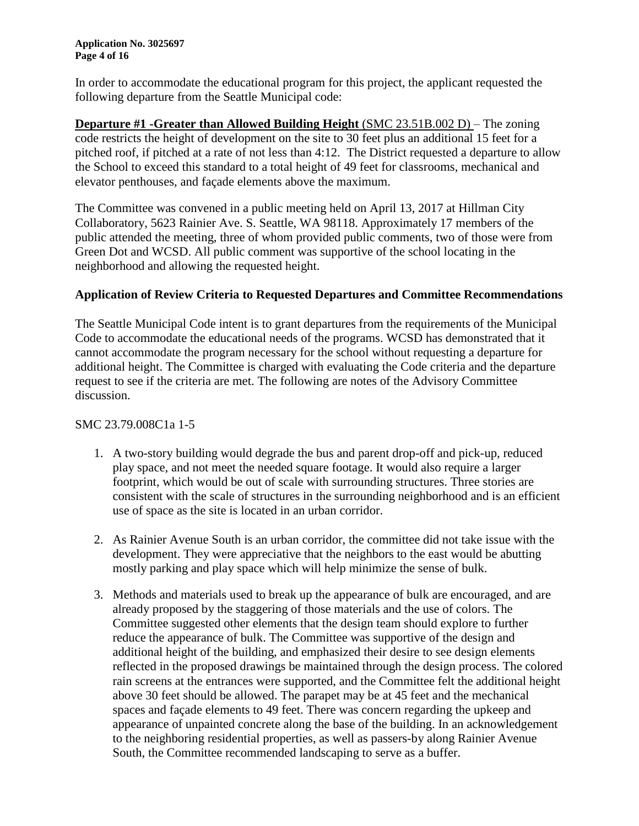**Application No. 3025697 Page 4 of 16**

In order to accommodate the educational program for this project, the applicant requested the following departure from the Seattle Municipal code:

**Departure #1 -Greater than Allowed Building Height** (SMC 23.51B.002 D) – The zoning code restricts the height of development on the site to 30 feet plus an additional 15 feet for a pitched roof, if pitched at a rate of not less than 4:12. The District requested a departure to allow the School to exceed this standard to a total height of 49 feet for classrooms, mechanical and elevator penthouses, and façade elements above the maximum.

The Committee was convened in a public meeting held on April 13, 2017 at Hillman City Collaboratory, 5623 Rainier Ave. S. Seattle, WA 98118. Approximately 17 members of the public attended the meeting, three of whom provided public comments, two of those were from Green Dot and WCSD. All public comment was supportive of the school locating in the neighborhood and allowing the requested height.

#### **Application of Review Criteria to Requested Departures and Committee Recommendations**

The Seattle Municipal Code intent is to grant departures from the requirements of the Municipal Code to accommodate the educational needs of the programs. WCSD has demonstrated that it cannot accommodate the program necessary for the school without requesting a departure for additional height. The Committee is charged with evaluating the Code criteria and the departure request to see if the criteria are met. The following are notes of the Advisory Committee discussion.

#### SMC 23.79.008C1a 1-5

- 1. A two-story building would degrade the bus and parent drop-off and pick-up, reduced play space, and not meet the needed square footage. It would also require a larger footprint, which would be out of scale with surrounding structures. Three stories are consistent with the scale of structures in the surrounding neighborhood and is an efficient use of space as the site is located in an urban corridor.
- 2. As Rainier Avenue South is an urban corridor, the committee did not take issue with the development. They were appreciative that the neighbors to the east would be abutting mostly parking and play space which will help minimize the sense of bulk.
- 3. Methods and materials used to break up the appearance of bulk are encouraged, and are already proposed by the staggering of those materials and the use of colors. The Committee suggested other elements that the design team should explore to further reduce the appearance of bulk. The Committee was supportive of the design and additional height of the building, and emphasized their desire to see design elements reflected in the proposed drawings be maintained through the design process. The colored rain screens at the entrances were supported, and the Committee felt the additional height above 30 feet should be allowed. The parapet may be at 45 feet and the mechanical spaces and façade elements to 49 feet. There was concern regarding the upkeep and appearance of unpainted concrete along the base of the building. In an acknowledgement to the neighboring residential properties, as well as passers-by along Rainier Avenue South, the Committee recommended landscaping to serve as a buffer.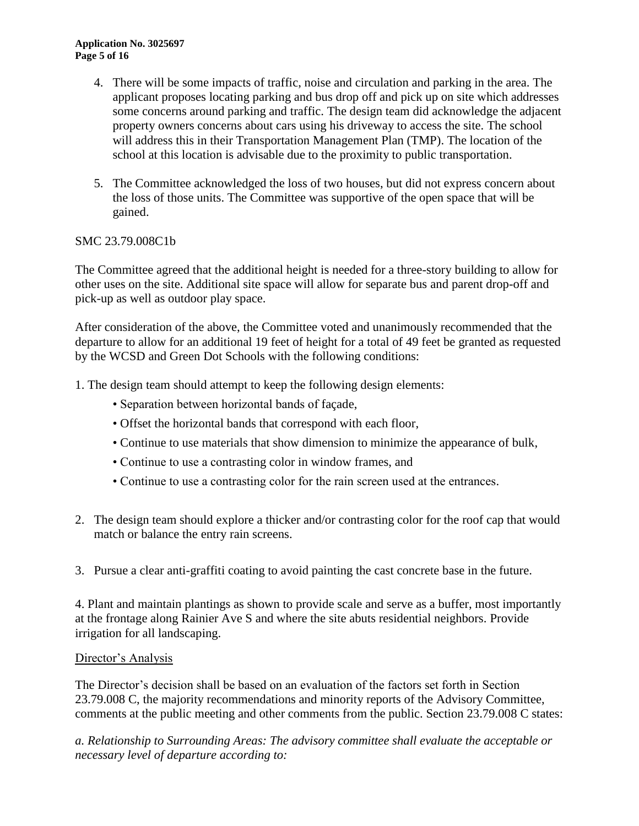#### **Application No. 3025697 Page 5 of 16**

- 4. There will be some impacts of traffic, noise and circulation and parking in the area. The applicant proposes locating parking and bus drop off and pick up on site which addresses some concerns around parking and traffic. The design team did acknowledge the adjacent property owners concerns about cars using his driveway to access the site. The school will address this in their Transportation Management Plan (TMP). The location of the school at this location is advisable due to the proximity to public transportation.
- 5. The Committee acknowledged the loss of two houses, but did not express concern about the loss of those units. The Committee was supportive of the open space that will be gained.

### SMC 23.79.008C1b

The Committee agreed that the additional height is needed for a three-story building to allow for other uses on the site. Additional site space will allow for separate bus and parent drop-off and pick-up as well as outdoor play space.

After consideration of the above, the Committee voted and unanimously recommended that the departure to allow for an additional 19 feet of height for a total of 49 feet be granted as requested by the WCSD and Green Dot Schools with the following conditions:

1. The design team should attempt to keep the following design elements:

- Separation between horizontal bands of façade,
- Offset the horizontal bands that correspond with each floor,
- Continue to use materials that show dimension to minimize the appearance of bulk,
- Continue to use a contrasting color in window frames, and
- Continue to use a contrasting color for the rain screen used at the entrances.
- 2. The design team should explore a thicker and/or contrasting color for the roof cap that would match or balance the entry rain screens.
- 3. Pursue a clear anti-graffiti coating to avoid painting the cast concrete base in the future.

4. Plant and maintain plantings as shown to provide scale and serve as a buffer, most importantly at the frontage along Rainier Ave S and where the site abuts residential neighbors. Provide irrigation for all landscaping.

### Director's Analysis

The Director's decision shall be based on an evaluation of the factors set forth in Section 23.79.008 C, the majority recommendations and minority reports of the Advisory Committee, comments at the public meeting and other comments from the public. Section 23.79.008 C states:

*a. Relationship to Surrounding Areas: The advisory committee shall evaluate the acceptable or necessary level of departure according to:*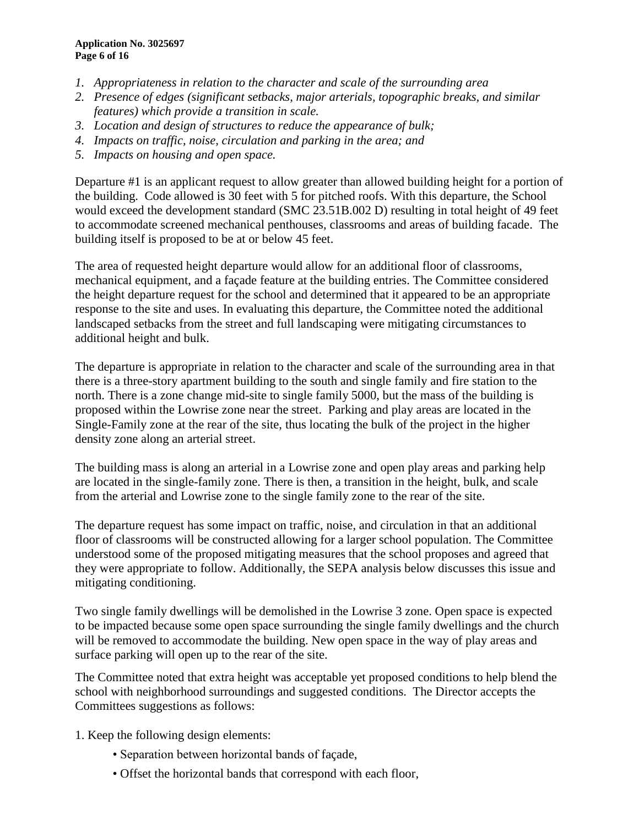- *1. Appropriateness in relation to the character and scale of the surrounding area*
- *2. Presence of edges (significant setbacks, major arterials, topographic breaks, and similar features) which provide a transition in scale.*
- *3. Location and design of structures to reduce the appearance of bulk;*
- *4. Impacts on traffic, noise, circulation and parking in the area; and*
- *5. Impacts on housing and open space.*

Departure #1 is an applicant request to allow greater than allowed building height for a portion of the building. Code allowed is 30 feet with 5 for pitched roofs. With this departure, the School would exceed the development standard (SMC 23.51B.002 D) resulting in total height of 49 feet to accommodate screened mechanical penthouses, classrooms and areas of building facade. The building itself is proposed to be at or below 45 feet.

The area of requested height departure would allow for an additional floor of classrooms, mechanical equipment, and a façade feature at the building entries. The Committee considered the height departure request for the school and determined that it appeared to be an appropriate response to the site and uses. In evaluating this departure, the Committee noted the additional landscaped setbacks from the street and full landscaping were mitigating circumstances to additional height and bulk.

The departure is appropriate in relation to the character and scale of the surrounding area in that there is a three-story apartment building to the south and single family and fire station to the north. There is a zone change mid-site to single family 5000, but the mass of the building is proposed within the Lowrise zone near the street. Parking and play areas are located in the Single-Family zone at the rear of the site, thus locating the bulk of the project in the higher density zone along an arterial street.

The building mass is along an arterial in a Lowrise zone and open play areas and parking help are located in the single-family zone. There is then, a transition in the height, bulk, and scale from the arterial and Lowrise zone to the single family zone to the rear of the site.

The departure request has some impact on traffic, noise, and circulation in that an additional floor of classrooms will be constructed allowing for a larger school population. The Committee understood some of the proposed mitigating measures that the school proposes and agreed that they were appropriate to follow. Additionally, the SEPA analysis below discusses this issue and mitigating conditioning.

Two single family dwellings will be demolished in the Lowrise 3 zone. Open space is expected to be impacted because some open space surrounding the single family dwellings and the church will be removed to accommodate the building. New open space in the way of play areas and surface parking will open up to the rear of the site.

The Committee noted that extra height was acceptable yet proposed conditions to help blend the school with neighborhood surroundings and suggested conditions. The Director accepts the Committees suggestions as follows:

- 1. Keep the following design elements:
	- Separation between horizontal bands of façade,
	- Offset the horizontal bands that correspond with each floor,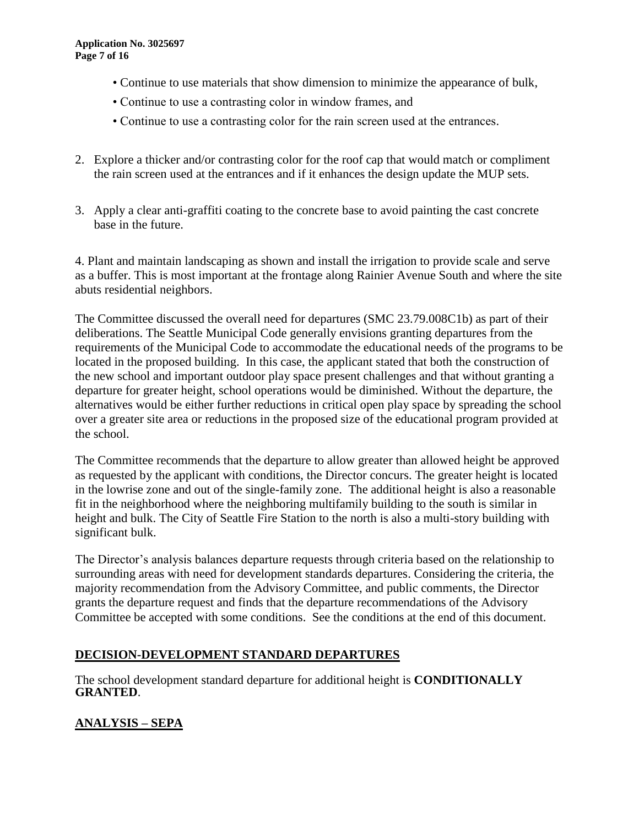- Continue to use materials that show dimension to minimize the appearance of bulk,
- Continue to use a contrasting color in window frames, and
- Continue to use a contrasting color for the rain screen used at the entrances.
- 2. Explore a thicker and/or contrasting color for the roof cap that would match or compliment the rain screen used at the entrances and if it enhances the design update the MUP sets.
- 3. Apply a clear anti-graffiti coating to the concrete base to avoid painting the cast concrete base in the future.

4. Plant and maintain landscaping as shown and install the irrigation to provide scale and serve as a buffer. This is most important at the frontage along Rainier Avenue South and where the site abuts residential neighbors.

The Committee discussed the overall need for departures (SMC 23.79.008C1b) as part of their deliberations. The Seattle Municipal Code generally envisions granting departures from the requirements of the Municipal Code to accommodate the educational needs of the programs to be located in the proposed building. In this case, the applicant stated that both the construction of the new school and important outdoor play space present challenges and that without granting a departure for greater height, school operations would be diminished. Without the departure, the alternatives would be either further reductions in critical open play space by spreading the school over a greater site area or reductions in the proposed size of the educational program provided at the school.

The Committee recommends that the departure to allow greater than allowed height be approved as requested by the applicant with conditions, the Director concurs. The greater height is located in the lowrise zone and out of the single-family zone. The additional height is also a reasonable fit in the neighborhood where the neighboring multifamily building to the south is similar in height and bulk. The City of Seattle Fire Station to the north is also a multi-story building with significant bulk.

The Director's analysis balances departure requests through criteria based on the relationship to surrounding areas with need for development standards departures. Considering the criteria, the majority recommendation from the Advisory Committee, and public comments, the Director grants the departure request and finds that the departure recommendations of the Advisory Committee be accepted with some conditions. See the conditions at the end of this document.

### **DECISION-DEVELOPMENT STANDARD DEPARTURES**

The school development standard departure for additional height is **CONDITIONALLY GRANTED**.

# **ANALYSIS – SEPA**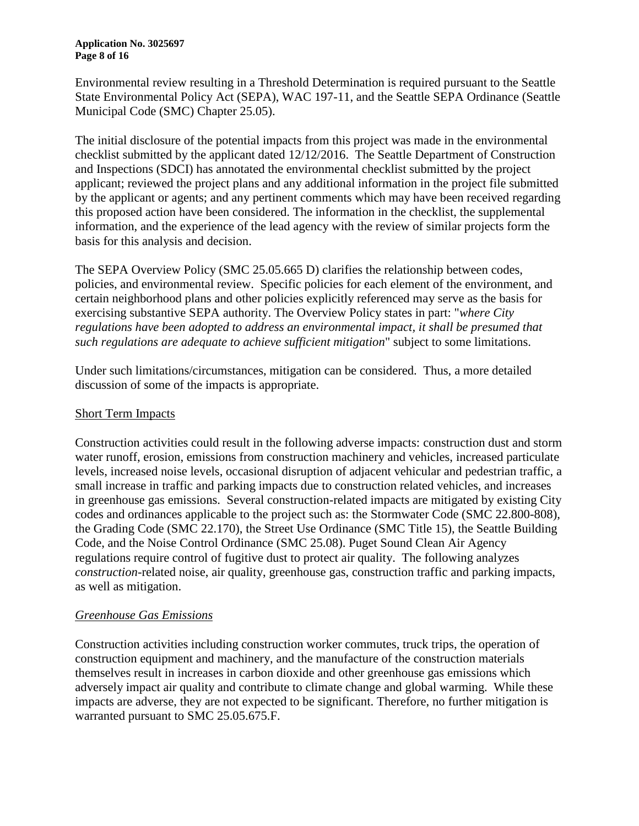#### **Application No. 3025697 Page 8 of 16**

Environmental review resulting in a Threshold Determination is required pursuant to the Seattle State Environmental Policy Act (SEPA), WAC 197-11, and the Seattle SEPA Ordinance (Seattle Municipal Code (SMC) Chapter 25.05).

The initial disclosure of the potential impacts from this project was made in the environmental checklist submitted by the applicant dated 12/12/2016. The Seattle Department of Construction and Inspections (SDCI) has annotated the environmental checklist submitted by the project applicant; reviewed the project plans and any additional information in the project file submitted by the applicant or agents; and any pertinent comments which may have been received regarding this proposed action have been considered. The information in the checklist, the supplemental information, and the experience of the lead agency with the review of similar projects form the basis for this analysis and decision.

The SEPA Overview Policy (SMC 25.05.665 D) clarifies the relationship between codes, policies, and environmental review. Specific policies for each element of the environment, and certain neighborhood plans and other policies explicitly referenced may serve as the basis for exercising substantive SEPA authority. The Overview Policy states in part: "*where City regulations have been adopted to address an environmental impact, it shall be presumed that such regulations are adequate to achieve sufficient mitigation*" subject to some limitations.

Under such limitations/circumstances, mitigation can be considered. Thus, a more detailed discussion of some of the impacts is appropriate.

### Short Term Impacts

Construction activities could result in the following adverse impacts: construction dust and storm water runoff, erosion, emissions from construction machinery and vehicles, increased particulate levels, increased noise levels, occasional disruption of adjacent vehicular and pedestrian traffic, a small increase in traffic and parking impacts due to construction related vehicles, and increases in greenhouse gas emissions. Several construction-related impacts are mitigated by existing City codes and ordinances applicable to the project such as: the Stormwater Code (SMC 22.800-808), the Grading Code (SMC 22.170), the Street Use Ordinance (SMC Title 15), the Seattle Building Code, and the Noise Control Ordinance (SMC 25.08). Puget Sound Clean Air Agency regulations require control of fugitive dust to protect air quality. The following analyzes *construction*-related noise, air quality, greenhouse gas, construction traffic and parking impacts, as well as mitigation.

### *Greenhouse Gas Emissions*

Construction activities including construction worker commutes, truck trips, the operation of construction equipment and machinery, and the manufacture of the construction materials themselves result in increases in carbon dioxide and other greenhouse gas emissions which adversely impact air quality and contribute to climate change and global warming. While these impacts are adverse, they are not expected to be significant. Therefore, no further mitigation is warranted pursuant to SMC 25.05.675.F.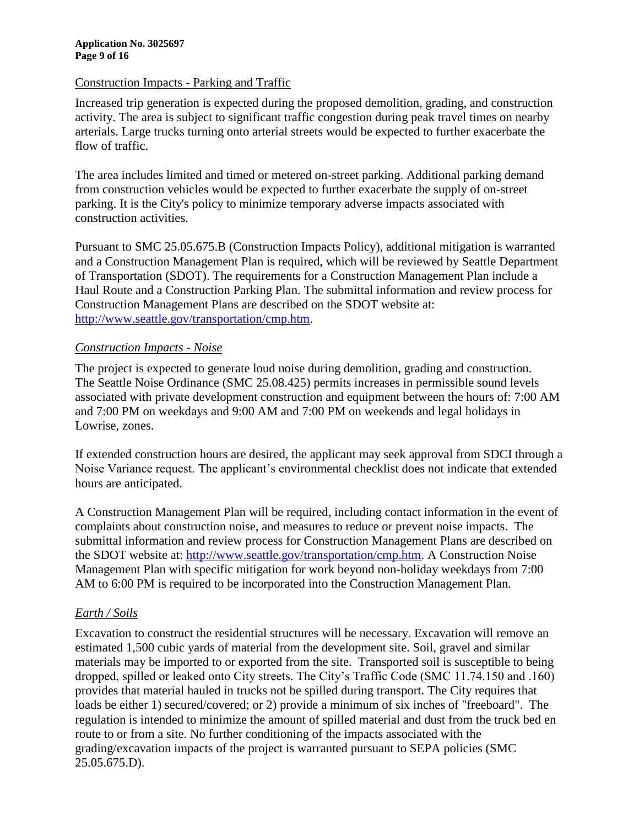#### Construction Impacts - Parking and Traffic

Increased trip generation is expected during the proposed demolition, grading, and construction activity. The area is subject to significant traffic congestion during peak travel times on nearby arterials. Large trucks turning onto arterial streets would be expected to further exacerbate the flow of traffic.

The area includes limited and timed or metered on-street parking. Additional parking demand from construction vehicles would be expected to further exacerbate the supply of on-street parking. It is the City's policy to minimize temporary adverse impacts associated with construction activities.

Pursuant to SMC 25.05.675.B (Construction Impacts Policy), additional mitigation is warranted and a Construction Management Plan is required, which will be reviewed by Seattle Department of Transportation (SDOT). The requirements for a Construction Management Plan include a Haul Route and a Construction Parking Plan. The submittal information and review process for Construction Management Plans are described on the SDOT website at: [http://www.seattle.gov/transportation/cmp.htm.](http://www.seattle.gov/transportation/cmp.htm)

### *Construction Impacts - Noise*

The project is expected to generate loud noise during demolition, grading and construction. The Seattle Noise Ordinance (SMC 25.08.425) permits increases in permissible sound levels associated with private development construction and equipment between the hours of: 7:00 AM and 7:00 PM on weekdays and 9:00 AM and 7:00 PM on weekends and legal holidays in Lowrise, zones.

If extended construction hours are desired, the applicant may seek approval from SDCI through a Noise Variance request. The applicant's environmental checklist does not indicate that extended hours are anticipated.

A Construction Management Plan will be required, including contact information in the event of complaints about construction noise, and measures to reduce or prevent noise impacts. The submittal information and review process for Construction Management Plans are described on the SDOT website at: [http://www.seattle.gov/transportation/cmp.htm.](http://www.seattle.gov/transportation/cmp.htm) A Construction Noise Management Plan with specific mitigation for work beyond non-holiday weekdays from 7:00 AM to 6:00 PM is required to be incorporated into the Construction Management Plan.

### *Earth / Soils*

Excavation to construct the residential structures will be necessary. Excavation will remove an estimated 1,500 cubic yards of material from the development site. Soil, gravel and similar materials may be imported to or exported from the site. Transported soil is susceptible to being dropped, spilled or leaked onto City streets. The City's Traffic Code (SMC 11.74.150 and .160) provides that material hauled in trucks not be spilled during transport. The City requires that loads be either 1) secured/covered; or 2) provide a minimum of six inches of "freeboard". The regulation is intended to minimize the amount of spilled material and dust from the truck bed en route to or from a site. No further conditioning of the impacts associated with the grading/excavation impacts of the project is warranted pursuant to SEPA policies (SMC 25.05.675.D).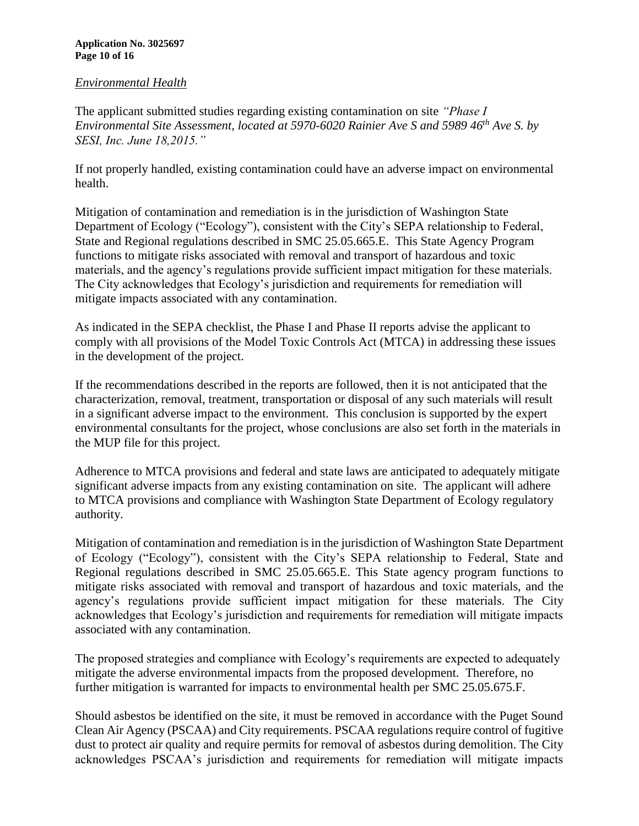#### **Application No. 3025697 Page 10 of 16**

#### *Environmental Health*

The applicant submitted studies regarding existing contamination on site *"Phase I Environmental Site Assessment, located at 5970-6020 Rainier Ave S and 5989 46th Ave S. by SESI, Inc. June 18,2015."* 

If not properly handled, existing contamination could have an adverse impact on environmental health.

Mitigation of contamination and remediation is in the jurisdiction of Washington State Department of Ecology ("Ecology"), consistent with the City's SEPA relationship to Federal, State and Regional regulations described in SMC 25.05.665.E. This State Agency Program functions to mitigate risks associated with removal and transport of hazardous and toxic materials, and the agency's regulations provide sufficient impact mitigation for these materials. The City acknowledges that Ecology's jurisdiction and requirements for remediation will mitigate impacts associated with any contamination.

As indicated in the SEPA checklist, the Phase I and Phase II reports advise the applicant to comply with all provisions of the Model Toxic Controls Act (MTCA) in addressing these issues in the development of the project.

If the recommendations described in the reports are followed, then it is not anticipated that the characterization, removal, treatment, transportation or disposal of any such materials will result in a significant adverse impact to the environment. This conclusion is supported by the expert environmental consultants for the project, whose conclusions are also set forth in the materials in the MUP file for this project.

Adherence to MTCA provisions and federal and state laws are anticipated to adequately mitigate significant adverse impacts from any existing contamination on site. The applicant will adhere to MTCA provisions and compliance with Washington State Department of Ecology regulatory authority.

Mitigation of contamination and remediation is in the jurisdiction of Washington State Department of Ecology ("Ecology"), consistent with the City's SEPA relationship to Federal, State and Regional regulations described in SMC 25.05.665.E. This State agency program functions to mitigate risks associated with removal and transport of hazardous and toxic materials, and the agency's regulations provide sufficient impact mitigation for these materials. The City acknowledges that Ecology's jurisdiction and requirements for remediation will mitigate impacts associated with any contamination.

The proposed strategies and compliance with Ecology's requirements are expected to adequately mitigate the adverse environmental impacts from the proposed development. Therefore, no further mitigation is warranted for impacts to environmental health per SMC 25.05.675.F.

Should asbestos be identified on the site, it must be removed in accordance with the Puget Sound Clean Air Agency (PSCAA) and City requirements. PSCAA regulations require control of fugitive dust to protect air quality and require permits for removal of asbestos during demolition. The City acknowledges PSCAA's jurisdiction and requirements for remediation will mitigate impacts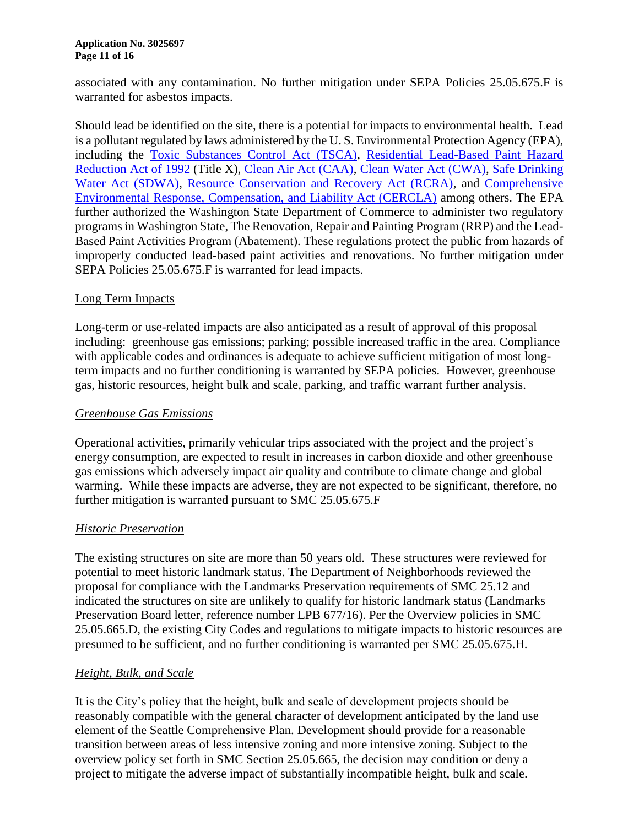associated with any contamination. No further mitigation under SEPA Policies 25.05.675.F is warranted for asbestos impacts.

Should lead be identified on the site, there is a potential for impacts to environmental health. Lead is a pollutant regulated by laws administered by the U. S. Environmental Protection Agency (EPA), including the [Toxic Substances Control Act \(TSCA\),](http://www.epa.gov/laws-regulations/summary-toxic-substances-control-act) [Residential Lead-Based Paint Hazard](http://portal.hud.gov/hudportal/documents/huddoc?id=DOC_12360.pdf)  [Reduction Act of 1992](http://portal.hud.gov/hudportal/documents/huddoc?id=DOC_12360.pdf) (Title X), [Clean Air Act \(CAA\),](http://www.epa.gov/laws-regulations/summary-clean-air-act) [Clean Water Act \(CWA\),](http://www.epa.gov/laws-regulations/summary-clean-water-act) [Safe Drinking](http://www.epa.gov/laws-regulations/summary-safe-drinking-water-act)  [Water Act \(SDWA\),](http://www.epa.gov/laws-regulations/summary-safe-drinking-water-act) [Resource Conservation and Recovery Act \(RCRA\),](http://www.epa.gov/laws-regulations/summary-resource-conservation-and-recovery-act) and [Comprehensive](http://www.epa.gov/laws-regulations/summary-comprehensive-environmental-response-compensation-and-liability-act)  [Environmental Response, Compensation, and Liability Act \(CERCLA\)](http://www.epa.gov/laws-regulations/summary-comprehensive-environmental-response-compensation-and-liability-act) among others. The EPA further authorized the Washington State Department of Commerce to administer two regulatory programs in Washington State, The Renovation, Repair and Painting Program (RRP) and the Lead-Based Paint Activities Program (Abatement). These regulations protect the public from hazards of improperly conducted lead-based paint activities and renovations. No further mitigation under SEPA Policies 25.05.675.F is warranted for lead impacts.

#### Long Term Impacts

Long-term or use-related impacts are also anticipated as a result of approval of this proposal including: greenhouse gas emissions; parking; possible increased traffic in the area. Compliance with applicable codes and ordinances is adequate to achieve sufficient mitigation of most longterm impacts and no further conditioning is warranted by SEPA policies. However, greenhouse gas, historic resources, height bulk and scale, parking, and traffic warrant further analysis.

#### *Greenhouse Gas Emissions*

Operational activities, primarily vehicular trips associated with the project and the project's energy consumption, are expected to result in increases in carbon dioxide and other greenhouse gas emissions which adversely impact air quality and contribute to climate change and global warming. While these impacts are adverse, they are not expected to be significant, therefore, no further mitigation is warranted pursuant to SMC 25.05.675.F

#### *Historic Preservation*

The existing structures on site are more than 50 years old. These structures were reviewed for potential to meet historic landmark status. The Department of Neighborhoods reviewed the proposal for compliance with the Landmarks Preservation requirements of SMC 25.12 and indicated the structures on site are unlikely to qualify for historic landmark status (Landmarks Preservation Board letter, reference number LPB 677/16). Per the Overview policies in SMC 25.05.665.D, the existing City Codes and regulations to mitigate impacts to historic resources are presumed to be sufficient, and no further conditioning is warranted per SMC 25.05.675.H.

### *Height, Bulk, and Scale*

It is the City's policy that the height, bulk and scale of development projects should be reasonably compatible with the general character of development anticipated by the land use element of the Seattle Comprehensive Plan. Development should provide for a reasonable transition between areas of less intensive zoning and more intensive zoning. Subject to the overview policy set forth in SMC Section 25.05.665, the decision may condition or deny a project to mitigate the adverse impact of substantially incompatible height, bulk and scale.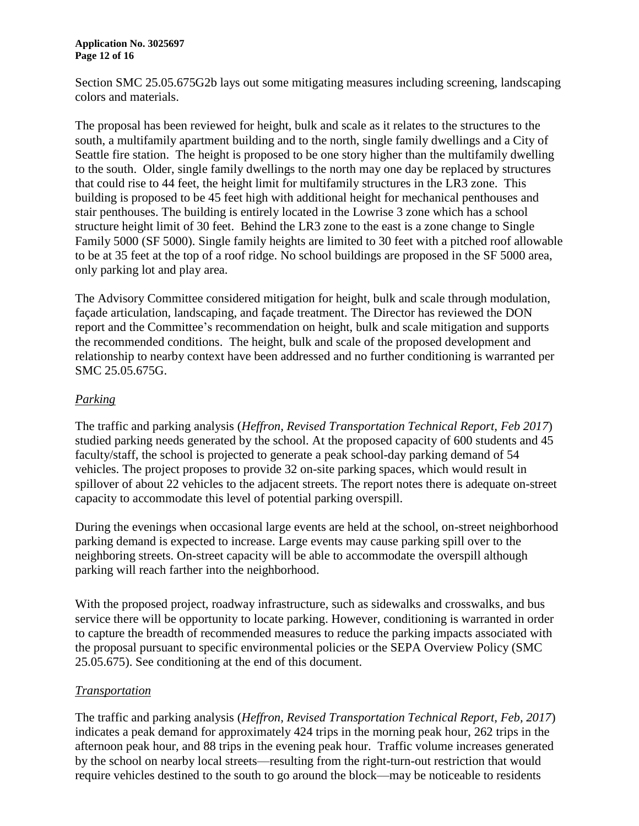#### **Application No. 3025697 Page 12 of 16**

Section SMC 25.05.675G2b lays out some mitigating measures including screening, landscaping colors and materials.

The proposal has been reviewed for height, bulk and scale as it relates to the structures to the south, a multifamily apartment building and to the north, single family dwellings and a City of Seattle fire station. The height is proposed to be one story higher than the multifamily dwelling to the south. Older, single family dwellings to the north may one day be replaced by structures that could rise to 44 feet, the height limit for multifamily structures in the LR3 zone. This building is proposed to be 45 feet high with additional height for mechanical penthouses and stair penthouses. The building is entirely located in the Lowrise 3 zone which has a school structure height limit of 30 feet. Behind the LR3 zone to the east is a zone change to Single Family 5000 (SF 5000). Single family heights are limited to 30 feet with a pitched roof allowable to be at 35 feet at the top of a roof ridge. No school buildings are proposed in the SF 5000 area, only parking lot and play area.

The Advisory Committee considered mitigation for height, bulk and scale through modulation, façade articulation, landscaping, and façade treatment. The Director has reviewed the DON report and the Committee's recommendation on height, bulk and scale mitigation and supports the recommended conditions. The height, bulk and scale of the proposed development and relationship to nearby context have been addressed and no further conditioning is warranted per SMC 25.05.675G.

### *Parking*

The traffic and parking analysis (*Heffron, Revised Transportation Technical Report, Feb 2017*) studied parking needs generated by the school. At the proposed capacity of 600 students and 45 faculty/staff, the school is projected to generate a peak school-day parking demand of 54 vehicles. The project proposes to provide 32 on-site parking spaces, which would result in spillover of about 22 vehicles to the adjacent streets. The report notes there is adequate on-street capacity to accommodate this level of potential parking overspill.

During the evenings when occasional large events are held at the school, on-street neighborhood parking demand is expected to increase. Large events may cause parking spill over to the neighboring streets. On-street capacity will be able to accommodate the overspill although parking will reach farther into the neighborhood.

With the proposed project, roadway infrastructure, such as sidewalks and crosswalks, and bus service there will be opportunity to locate parking. However, conditioning is warranted in order to capture the breadth of recommended measures to reduce the parking impacts associated with the proposal pursuant to specific environmental policies or the SEPA Overview Policy (SMC 25.05.675). See conditioning at the end of this document.

### *Transportation*

The traffic and parking analysis (*Heffron, Revised Transportation Technical Report, Feb, 2017*) indicates a peak demand for approximately 424 trips in the morning peak hour, 262 trips in the afternoon peak hour, and 88 trips in the evening peak hour. Traffic volume increases generated by the school on nearby local streets—resulting from the right-turn-out restriction that would require vehicles destined to the south to go around the block—may be noticeable to residents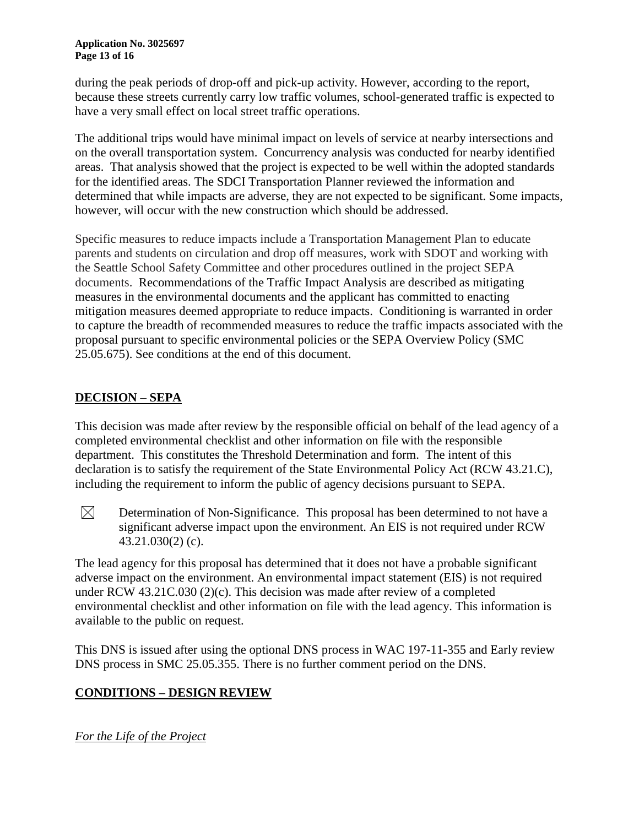during the peak periods of drop-off and pick-up activity. However, according to the report, because these streets currently carry low traffic volumes, school-generated traffic is expected to have a very small effect on local street traffic operations.

The additional trips would have minimal impact on levels of service at nearby intersections and on the overall transportation system. Concurrency analysis was conducted for nearby identified areas. That analysis showed that the project is expected to be well within the adopted standards for the identified areas. The SDCI Transportation Planner reviewed the information and determined that while impacts are adverse, they are not expected to be significant. Some impacts, however, will occur with the new construction which should be addressed.

Specific measures to reduce impacts include a Transportation Management Plan to educate parents and students on circulation and drop off measures, work with SDOT and working with the Seattle School Safety Committee and other procedures outlined in the project SEPA documents. Recommendations of the Traffic Impact Analysis are described as mitigating measures in the environmental documents and the applicant has committed to enacting mitigation measures deemed appropriate to reduce impacts. Conditioning is warranted in order to capture the breadth of recommended measures to reduce the traffic impacts associated with the proposal pursuant to specific environmental policies or the SEPA Overview Policy (SMC 25.05.675). See conditions at the end of this document.

# **DECISION – SEPA**

This decision was made after review by the responsible official on behalf of the lead agency of a completed environmental checklist and other information on file with the responsible department. This constitutes the Threshold Determination and form. The intent of this declaration is to satisfy the requirement of the State Environmental Policy Act (RCW 43.21.C), including the requirement to inform the public of agency decisions pursuant to SEPA.

 $\boxtimes$ Determination of Non-Significance. This proposal has been determined to not have a significant adverse impact upon the environment. An EIS is not required under RCW 43.21.030(2) (c).

The lead agency for this proposal has determined that it does not have a probable significant adverse impact on the environment. An environmental impact statement (EIS) is not required under RCW [43.21C.030](http://apps.leg.wa.gov/RCW/default.aspx?cite=43.21C.030) (2)(c). This decision was made after review of a completed environmental checklist and other information on file with the lead agency. This information is available to the public on request.

This DNS is issued after using the optional DNS process in WAC [197-11-355](http://apps.leg.wa.gov/WAC/default.aspx?cite=197-11-355) and Early review DNS process in SMC 25.05.355. There is no further comment period on the DNS.

# **CONDITIONS – DESIGN REVIEW**

*For the Life of the Project*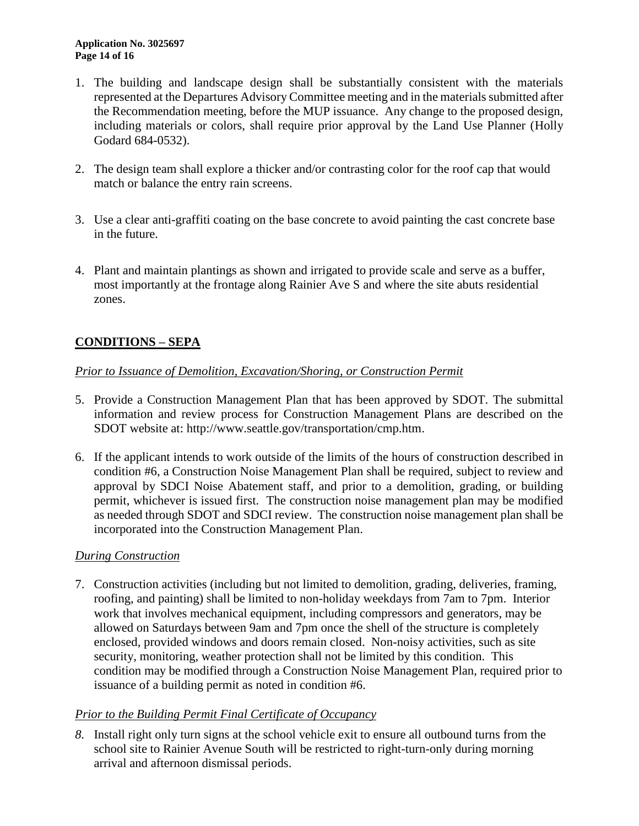- 1. The building and landscape design shall be substantially consistent with the materials represented at the Departures Advisory Committee meeting and in the materials submitted after the Recommendation meeting, before the MUP issuance. Any change to the proposed design, including materials or colors, shall require prior approval by the Land Use Planner (Holly Godard 684-0532).
- 2. The design team shall explore a thicker and/or contrasting color for the roof cap that would match or balance the entry rain screens.
- 3. Use a clear anti-graffiti coating on the base concrete to avoid painting the cast concrete base in the future.
- 4. Plant and maintain plantings as shown and irrigated to provide scale and serve as a buffer, most importantly at the frontage along Rainier Ave S and where the site abuts residential zones.

# **CONDITIONS – SEPA**

### *Prior to Issuance of Demolition, Excavation/Shoring, or Construction Permit*

- 5. Provide a Construction Management Plan that has been approved by SDOT. The submittal information and review process for Construction Management Plans are described on the SDOT website at: [http://www.seattle.gov/transportation/cmp.htm.](http://www.seattle.gov/transportation/cmp.htm)
- 6. If the applicant intends to work outside of the limits of the hours of construction described in condition #6, a Construction Noise Management Plan shall be required, subject to review and approval by SDCI Noise Abatement staff, and prior to a demolition, grading, or building permit, whichever is issued first. The construction noise management plan may be modified as needed through SDOT and SDCI review. The construction noise management plan shall be incorporated into the Construction Management Plan.

### *During Construction*

7. Construction activities (including but not limited to demolition, grading, deliveries, framing, roofing, and painting) shall be limited to non-holiday weekdays from 7am to 7pm. Interior work that involves mechanical equipment, including compressors and generators, may be allowed on Saturdays between 9am and 7pm once the shell of the structure is completely enclosed, provided windows and doors remain closed. Non-noisy activities, such as site security, monitoring, weather protection shall not be limited by this condition. This condition may be modified through a Construction Noise Management Plan, required prior to issuance of a building permit as noted in condition #6.

### *Prior to the Building Permit Final Certificate of Occupancy*

*8.* Install right only turn signs at the school vehicle exit to ensure all outbound turns from the school site to Rainier Avenue South will be restricted to right-turn-only during morning arrival and afternoon dismissal periods.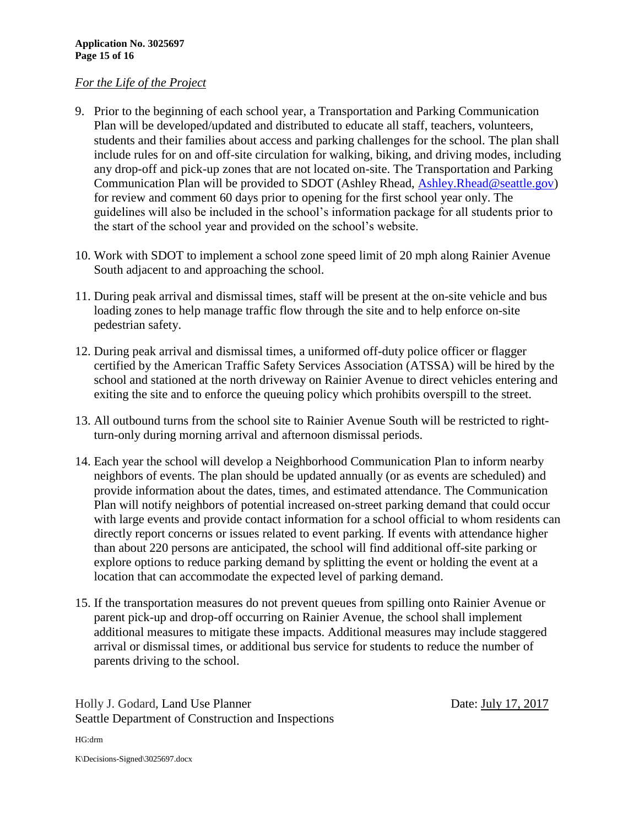#### *For the Life of the Project*

- 9. Prior to the beginning of each school year, a Transportation and Parking Communication Plan will be developed/updated and distributed to educate all staff, teachers, volunteers, students and their families about access and parking challenges for the school. The plan shall include rules for on and off-site circulation for walking, biking, and driving modes, including any drop-off and pick-up zones that are not located on-site. The Transportation and Parking Communication Plan will be provided to SDOT (Ashley Rhead, Ashley Rhead@seattle.gov) for review and comment 60 days prior to opening for the first school year only. The guidelines will also be included in the school's information package for all students prior to the start of the school year and provided on the school's website.
- 10. Work with SDOT to implement a school zone speed limit of 20 mph along Rainier Avenue South adjacent to and approaching the school.
- 11. During peak arrival and dismissal times, staff will be present at the on-site vehicle and bus loading zones to help manage traffic flow through the site and to help enforce on-site pedestrian safety.
- 12. During peak arrival and dismissal times, a uniformed off-duty police officer or flagger certified by the American Traffic Safety Services Association (ATSSA) will be hired by the school and stationed at the north driveway on Rainier Avenue to direct vehicles entering and exiting the site and to enforce the queuing policy which prohibits overspill to the street.
- 13. All outbound turns from the school site to Rainier Avenue South will be restricted to rightturn-only during morning arrival and afternoon dismissal periods.
- 14. Each year the school will develop a Neighborhood Communication Plan to inform nearby neighbors of events. The plan should be updated annually (or as events are scheduled) and provide information about the dates, times, and estimated attendance. The Communication Plan will notify neighbors of potential increased on-street parking demand that could occur with large events and provide contact information for a school official to whom residents can directly report concerns or issues related to event parking. If events with attendance higher than about 220 persons are anticipated, the school will find additional off-site parking or explore options to reduce parking demand by splitting the event or holding the event at a location that can accommodate the expected level of parking demand.
- 15. If the transportation measures do not prevent queues from spilling onto Rainier Avenue or parent pick-up and drop-off occurring on Rainier Avenue, the school shall implement additional measures to mitigate these impacts. Additional measures may include staggered arrival or dismissal times, or additional bus service for students to reduce the number of parents driving to the school.

Holly J. Godard, Land Use Planner Date: July 17, 2017 Seattle Department of Construction and Inspections

HG:drm

K\Decisions-Signed\3025697.docx